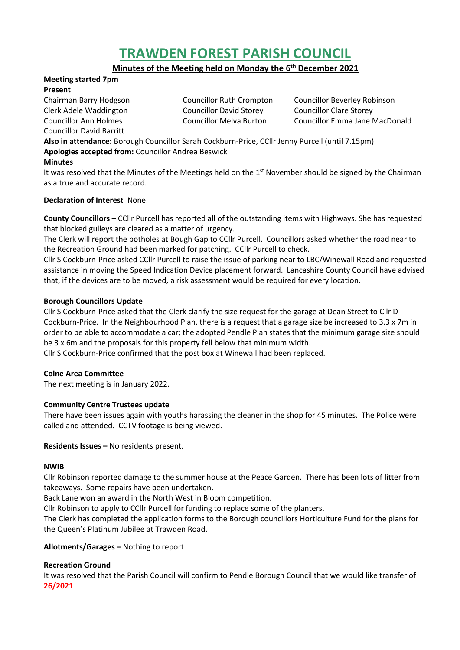# **TRAWDEN FOREST PARISH COUNCIL**

**Minutes of the Meeting held on Monday the 6 th December 2021**

#### **Meeting started 7pm Present**

Councillor David Barritt

Clerk Adele Waddington Councillor David Storey Councillor Clare Storey

Chairman Barry Hodgson Councillor Ruth Crompton Councillor Beverley Robinson Councillor Ann Holmes Councillor Melva Burton Councillor Emma Jane MacDonald

**Also in attendance:** Borough Councillor Sarah Cockburn-Price, CCllr Jenny Purcell (until 7.15pm) **Apologies accepted from:** Councillor Andrea Beswick

# **Minutes**

It was resolved that the Minutes of the Meetings held on the 1<sup>st</sup> November should be signed by the Chairman as a true and accurate record.

## **Declaration of Interest** None.

**County Councillors –** CCllr Purcell has reported all of the outstanding items with Highways. She has requested that blocked gulleys are cleared as a matter of urgency.

The Clerk will report the potholes at Bough Gap to CCllr Purcell. Councillors asked whether the road near to the Recreation Ground had been marked for patching. CCllr Purcell to check.

Cllr S Cockburn-Price asked CCllr Purcell to raise the issue of parking near to LBC/Winewall Road and requested assistance in moving the Speed Indication Device placement forward. Lancashire County Council have advised that, if the devices are to be moved, a risk assessment would be required for every location.

## **Borough Councillors Update**

Cllr S Cockburn-Price asked that the Clerk clarify the size request for the garage at Dean Street to Cllr D Cockburn-Price. In the Neighbourhood Plan, there is a request that a garage size be increased to 3.3 x 7m in order to be able to accommodate a car; the adopted Pendle Plan states that the minimum garage size should be 3 x 6m and the proposals for this property fell below that minimum width.

Cllr S Cockburn-Price confirmed that the post box at Winewall had been replaced.

## **Colne Area Committee**

The next meeting is in January 2022.

# **Community Centre Trustees update**

There have been issues again with youths harassing the cleaner in the shop for 45 minutes. The Police were called and attended. CCTV footage is being viewed.

**Residents Issues –** No residents present.

## **NWIB**

Cllr Robinson reported damage to the summer house at the Peace Garden. There has been lots of litter from takeaways. Some repairs have been undertaken.

Back Lane won an award in the North West in Bloom competition.

Cllr Robinson to apply to CCllr Purcell for funding to replace some of the planters.

The Clerk has completed the application forms to the Borough councillors Horticulture Fund for the plans for the Queen's Platinum Jubilee at Trawden Road.

# **Allotments/Garages –** Nothing to report

# **Recreation Ground**

It was resolved that the Parish Council will confirm to Pendle Borough Council that we would like transfer of **26/2021**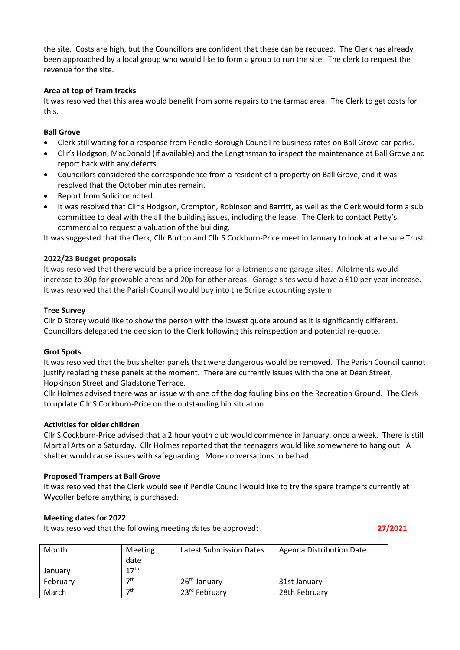the site. Costs are high, but the Councillors are confident that these can be reduced. The Clerk has already been approached by a local group who would like to form a group to run the site. The clerk to request the revenue for the site.

## **Area at top of Tram tracks**

It was resolved that this area would benefit from some repairs to the tarmac area. The Clerk to get costs for this.

## **Ball Grove**

- Clerk still waiting for a response from Pendle Borough Council re business rates on Ball Grove car parks.
- Cllr's Hodgson, MacDonald (if available) and the Lengthsman to inspect the maintenance at Ball Grove and report back with any defects.
- Councillors considered the correspondence from a resident of a property on Ball Grove, and it was resolved that the October minutes remain.
- Report from Solicitor noted.
- It was resolved that Cllr's Hodgson, Crompton, Robinson and Barritt, as well as the Clerk would form a sub committee to deal with the all the building issues, including the lease. The Clerk to contact Petty's commercial to request a valuation of the building.

It was suggested that the Clerk, Cllr Burton and Cllr S Cockburn-Price meet in January to look at a Leisure Trust.

## **2022/23 Budget proposals**

It was resolved that there would be a price increase for allotments and garage sites. Allotments would increase to 30p for growable areas and 20p for other areas. Garage sites would have a £10 per year increase. It was resolved that the Parish Council would buy into the Scribe accounting system.

## **Tree Survey**

Cllr D Storey would like to show the person with the lowest quote around as it is significantly different. Councillors delegated the decision to the Clerk following this reinspection and potential re-quote.

## **Grot Spots**

It was resolved that the bus shelter panels that were dangerous would be removed. The Parish Council cannot justify replacing these panels at the moment. There are currently issues with the one at Dean Street, Hopkinson Street and Gladstone Terrace.

Cllr Holmes advised there was an issue with one of the dog fouling bins on the Recreation Ground. The Clerk to update Cllr S Cockburn-Price on the outstanding bin situation.

## **Activities for older children**

Cllr S Cockburn-Price advised that a 2 hour youth club would commence in January, once a week. There is still Martial Arts on a Saturday. Cllr Holmes reported that the teenagers would like somewhere to hang out. A shelter would cause issues with safeguarding. More conversations to be had.

## **Proposed Trampers at Ball Grove**

It was resolved that the Clerk would see if Pendle Council would like to try the spare trampers currently at Wycoller before anything is purchased.

## **Meeting dates for 2022**

It was resolved that the following meeting dates be approved: **27/2021**

| Month    | Meeting<br>date  | <b>Latest Submission Dates</b> | Agenda Distribution Date |
|----------|------------------|--------------------------------|--------------------------|
| January  | 17 <sup>th</sup> |                                |                          |
| February | 7th              | $26th$ January                 | 31st January             |
| March    | 7th              | 23rd February                  | 28th February            |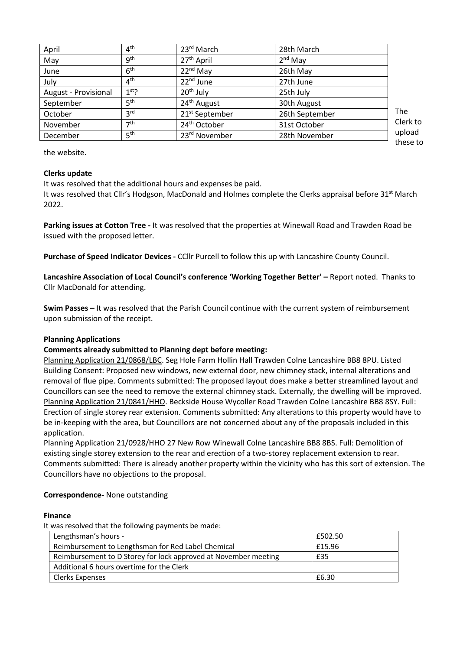| 9 <sup>th</sup><br>27 <sup>th</sup> April<br>2 <sup>nd</sup> May<br>May<br>6 <sup>th</sup><br>$22nd$ May<br>26th May<br>June<br>4 <sup>th</sup><br>22 <sup>nd</sup> June<br>July<br>27th June<br>20 <sup>th</sup> July<br>$1st$ ?<br>25th July<br>August - Provisional<br>5 <sup>th</sup><br>24 <sup>th</sup> August<br>September<br>30th August<br>3 <sup>rd</sup><br>21 <sup>st</sup> September<br>26th September<br>October<br>7 <sup>th</sup><br>24 <sup>th</sup> October<br>31st October<br>November | April    | 4 <sup>th</sup> | 23rd March                | 28th March    |                    |
|-----------------------------------------------------------------------------------------------------------------------------------------------------------------------------------------------------------------------------------------------------------------------------------------------------------------------------------------------------------------------------------------------------------------------------------------------------------------------------------------------------------|----------|-----------------|---------------------------|---------------|--------------------|
|                                                                                                                                                                                                                                                                                                                                                                                                                                                                                                           |          |                 |                           |               |                    |
|                                                                                                                                                                                                                                                                                                                                                                                                                                                                                                           |          |                 |                           |               |                    |
|                                                                                                                                                                                                                                                                                                                                                                                                                                                                                                           |          |                 |                           |               |                    |
|                                                                                                                                                                                                                                                                                                                                                                                                                                                                                                           |          |                 |                           |               |                    |
|                                                                                                                                                                                                                                                                                                                                                                                                                                                                                                           |          |                 |                           |               |                    |
|                                                                                                                                                                                                                                                                                                                                                                                                                                                                                                           |          |                 |                           |               | The                |
|                                                                                                                                                                                                                                                                                                                                                                                                                                                                                                           |          |                 |                           |               | Clerk to           |
|                                                                                                                                                                                                                                                                                                                                                                                                                                                                                                           | December | 5 <sup>th</sup> | 23 <sup>rd</sup> November | 28th November | upload<br>these to |

the website.

## **Clerks update**

It was resolved that the additional hours and expenses be paid.

It was resolved that Cllr's Hodgson, MacDonald and Holmes complete the Clerks appraisal before 31<sup>st</sup> March 2022.

**Parking issues at Cotton Tree -** It was resolved that the properties at Winewall Road and Trawden Road be issued with the proposed letter.

**Purchase of Speed Indicator Devices -** CCllr Purcell to follow this up with Lancashire County Council.

**Lancashire Association of Local Council's conference 'Working Together Better' –** Report noted. Thanks to Cllr MacDonald for attending.

**Swim Passes –** It was resolved that the Parish Council continue with the current system of reimbursement upon submission of the receipt.

## **Planning Applications**

# **Comments already submitted to Planning dept before meeting:**

Planning Application 21/0868/LBC. Seg Hole Farm Hollin Hall Trawden Colne Lancashire BB8 8PU. Listed Building Consent: Proposed new windows, new external door, new chimney stack, internal alterations and removal of flue pipe. Comments submitted: The proposed layout does make a better streamlined layout and Councillors can see the need to remove the external chimney stack. Externally, the dwelling will be improved. Planning Application 21/0841/HHO. Beckside House Wycoller Road Trawden Colne Lancashire BB8 8SY. Full: Erection of single storey rear extension. Comments submitted: Any alterations to this property would have to be in-keeping with the area, but Councillors are not concerned about any of the proposals included in this application.

Planning Application 21/0928/HHO 27 New Row Winewall Colne Lancashire BB8 8BS. Full: Demolition of existing single storey extension to the rear and erection of a two-storey replacement extension to rear. Comments submitted: There is already another property within the vicinity who has this sort of extension. The Councillors have no objections to the proposal.

## **Correspondence-** None outstanding

## **Finance**

It was resolved that the following payments be made:

| Lengthsman's hours -                                            | £502.50 |
|-----------------------------------------------------------------|---------|
| Reimbursement to Lengthsman for Red Label Chemical              | £15.96  |
| Reimbursement to D Storey for lock approved at November meeting | £35     |
| Additional 6 hours overtime for the Clerk                       |         |
| Clerks Expenses                                                 | £6.30   |